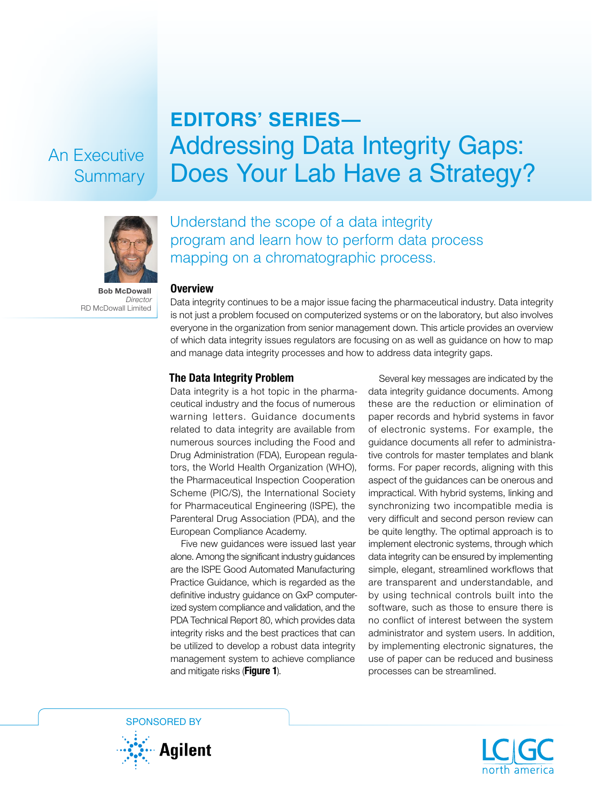## An Executive **Summary**

# **EDITORS' SERIES—** Addressing Data Integrity Gaps: Does Your Lab Have a Strategy?



Bob McDowall *Director* RD McDowall Limited

### Understand the scope of a data integrity program and learn how to perform data process mapping on a chromatographic process.

#### Overview

Data integrity continues to be a major issue facing the pharmaceutical industry. Data integrity is not just a problem focused on computerized systems or on the laboratory, but also involves everyone in the organization from senior management down. This article provides an overview of which data integrity issues regulators are focusing on as well as guidance on how to map and manage data integrity processes and how to address data integrity gaps.

#### The Data Integrity Problem

Data integrity is a hot topic in the pharmaceutical industry and the focus of numerous warning letters. Guidance documents related to data integrity are available from numerous sources including the Food and Drug Administration (FDA), European regulators, the World Health Organization (WHO), the Pharmaceutical Inspection Cooperation Scheme (PIC/S), the International Society for Pharmaceutical Engineering (ISPE), the Parenteral Drug Association (PDA), and the European Compliance Academy.

Five new guidances were issued last year alone. Among the significant industry guidances are the ISPE Good Automated Manufacturing Practice Guidance, which is regarded as the definitive industry guidance on GxP computerized system compliance and validation, and the PDA Technical Report 80, which provides data integrity risks and the best practices that can be utilized to develop a robust data integrity management system to achieve compliance and mitigate risks (Figure 1).

Several key messages are indicated by the data integrity guidance documents. Among these are the reduction or elimination of paper records and hybrid systems in favor of electronic systems. For example, the guidance documents all refer to administrative controls for master templates and blank forms. For paper records, aligning with this aspect of the guidances can be onerous and impractical. With hybrid systems, linking and synchronizing two incompatible media is very difficult and second person review can be quite lengthy. The optimal approach is to implement electronic systems, through which data integrity can be ensured by implementing simple, elegant, streamlined workflows that are transparent and understandable, and by using technical controls built into the software, such as those to ensure there is no conflict of interest between the system administrator and system users. In addition, by implementing electronic signatures, the use of paper can be reduced and business processes can be streamlined.



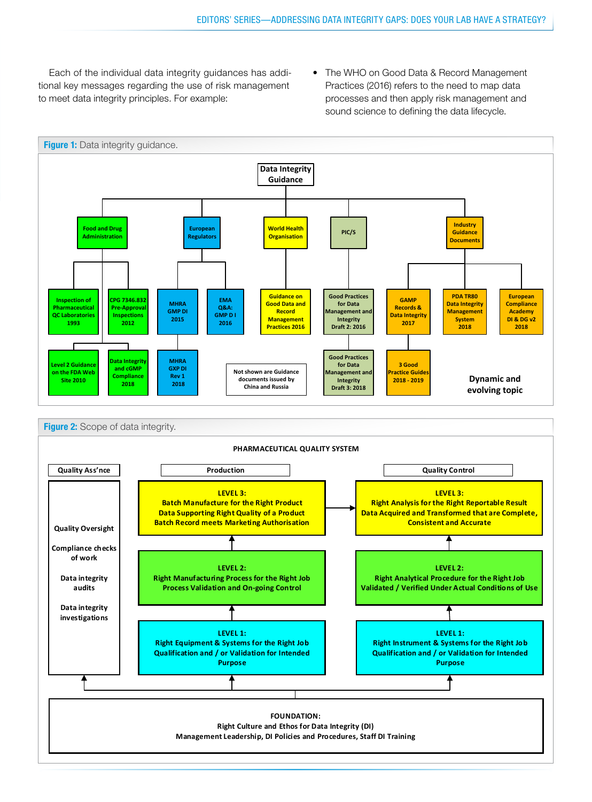Each of the individual data integrity guidances has additional key messages regarding the use of risk management to meet data integrity principles. For example:

• The WHO on Good Data & Record Management Practices (2016) refers to the need to map data processes and then apply risk management and sound science to defining the data lifecycle.



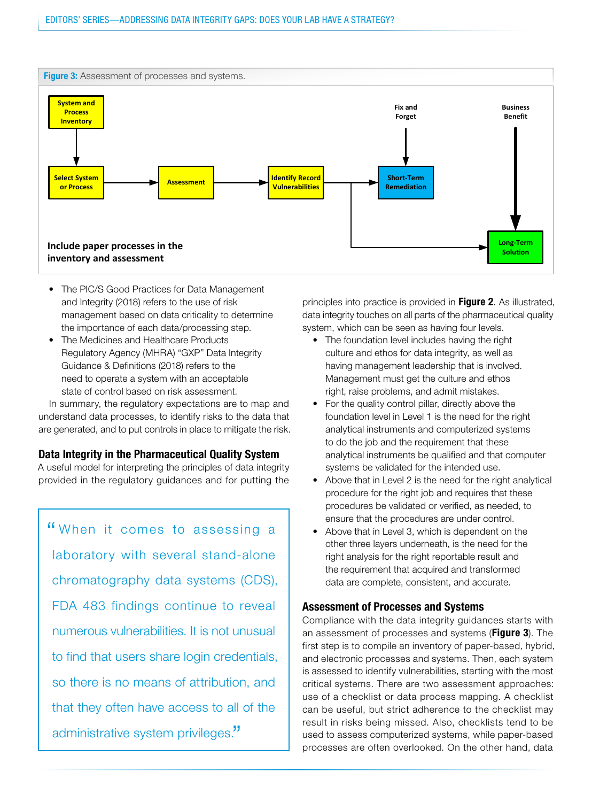

- The PIC/S Good Practices for Data Management and Integrity (2018) refers to the use of risk management based on data criticality to determine the importance of each data/processing step.
- The Medicines and Healthcare Products Regulatory Agency (MHRA) "GXP" Data Integrity Guidance & Definitions (2018) refers to the need to operate a system with an acceptable state of control based on risk assessment.

In summary, the regulatory expectations are to map and understand data processes, to identify risks to the data that are generated, and to put controls in place to mitigate the risk.

#### Data Integrity in the Pharmaceutical Quality System

A useful model for interpreting the principles of data integrity provided in the regulatory guidances and for putting the

" When it comes to assessing a laboratory with several stand-alone chromatography data systems (CDS), FDA 483 findings continue to reveal numerous vulnerabilities. It is not unusual to find that users share login credentials, so there is no means of attribution, and that they often have access to all of the administrative system privileges."

principles into practice is provided in Figure 2. As illustrated, nt based on data criticality to determine entity data integrity touches on all parts of the pharmaceutical quality system, which can be seen as having four levels.

- The foundation level includes having the right culture and ethos for data integrity, as well as having management leadership that is involved. Management must get the culture and ethos right, raise problems, and admit mistakes.
- For the quality control pillar, directly above the foundation level in Level 1 is the need for the right analytical instruments and computerized systems to do the job and the requirement that these analytical instruments be qualified and that computer systems be validated for the intended use.
- Above that in Level 2 is the need for the right analytical procedure for the right job and requires that these procedures be validated or verified, as needed, to ensure that the procedures are under control.
- Above that in Level 3, which is dependent on the other three layers underneath, is the need for the right analysis for the right reportable result and the requirement that acquired and transformed data are complete, consistent, and accurate.

#### Assessment of Processes and Systems

Compliance with the data integrity guidances starts with an assessment of processes and systems (Figure 3). The first step is to compile an inventory of paper-based, hybrid, and electronic processes and systems. Then, each system is assessed to identify vulnerabilities, starting with the most critical systems. There are two assessment approaches: use of a checklist or data process mapping. A checklist can be useful, but strict adherence to the checklist may result in risks being missed. Also, checklists tend to be used to assess computerized systems, while paper-based processes are often overlooked. On the other hand, data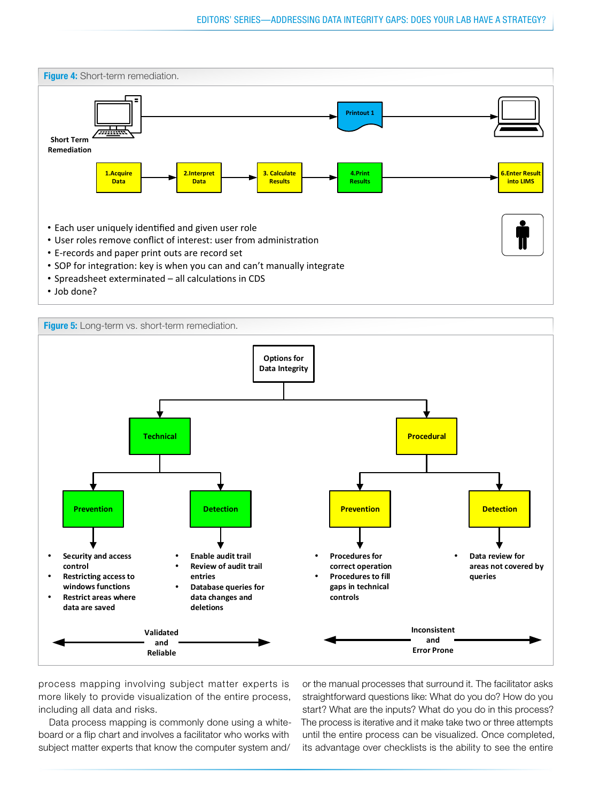



process mapping involving subject matter experts is more likely to provide visualization of the entire process, including all data and risks.

Data process mapping is commonly done using a whiteboard or a flip chart and involves a facilitator who works with subject matter experts that know the computer system and/

or the manual processes that surround it. The facilitator asks straightforward questions like: What do you do? How do you start? What are the inputs? What do you do in this process? The process is iterative and it make take two or three attempts until the entire process can be visualized. Once completed, its advantage over checklists is the ability to see the entire